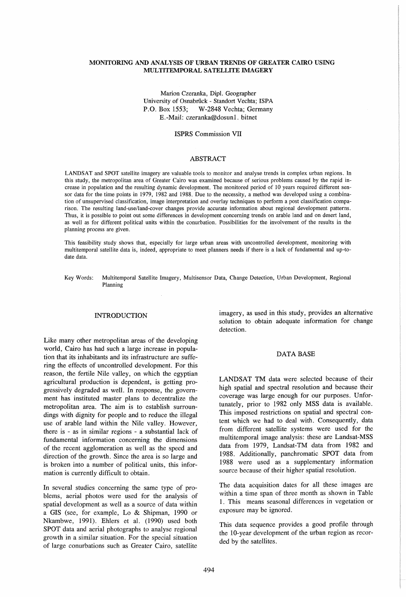# MONITORING AND ANALYSIS OF URBAN TRENDS OF GREATER CAIRO USING MULTITEMPORAL SATELLITE IMAGERY

# Marion Czeranka, Dip!. Geographer University of Osnabriick - Standort Vechta; ISPA P.O. Box 1553; W-2848 Vechta; Germany E.-Mail: czeranka@dosunl. bitnet

### ISPRS Commission VII

# ABSTRACT

LANDSAT and SPOT satellite imagery are valuable tools to monitor and analyse trends in complex urban regions. In this study, the metropolitan area of Greater Cairo was examined because of serious problems caused by the rapid increase in population and the resulting dynamic development. The monitored period of 10 years required different sensor data for the time points in 1979, 1982 and 1988. Due to the necessity, a method was developed using a combination of unsupervised classification, image interpretation and overlay techniques to perform a post classification comparison. The resulting land-use/land-cover changes provide accurate information about regional development patterns. Thus, it is possible to point out some differences in development concerning trends on arable land and on desert land, as well as for different political units within the conurbation. Possibilities for the involvement of the results in the planning process are given.

This feasibility study shows that, especially for large urban areas with uncontrolled development, monitoring with multitemporal satellite data is, indeed, appropriate to meet planners needs if there is a lack of fundamental and up-todate data.

Key Words: Multitemporal Satellite Imagery, Multisensor Data, Change Detection, Urban Development, Regional Planning

#### INTRODUCTION

Like many other metropolitan areas of the developing world, Cairo has had such a large increase in population that its inhabitants and its infrastructure are suffering the effects of uncontrolled development. For this reason, the fertile Nile valley, on which the egyptian agricultural production is dependent, is getting progressively degraded as well. In response, the government has instituted master plans to decentralize the metropolitan area. The aim is to establish surroundings with dignity for people and to reduce the illegal use of arable land within the Nile valley. However, there is - as in similar regions - a substantial lack of fundamental information concerning the dimensions of the recent agglomeration as well as the speed and direction of the growth. Since the area is so large and is broken into a number of political units, this information is currently difficult to obtain.

In several studies concerning the same type of problems, aerial photos were used for the analysis of spatial development as well as a source of data within a GIS (see, for example, Lo & Shipman, 1990 or Nkambwe, 1991). Ehlers et al. (1990) used both SPOT data and aerial photographs to analyse regional growth in a similar situation. For the special situation of large conurbations such as Greater Cairo, satellite

imagery, as used in this study, provides an alternative solution to obtain adequate information for change detection.

### DATA BASE

LANDSAT TM data were selected because of their high spatial and spectral resolution and because their coverage was large enough for our purposes. Unfortunately, prior to 1982 only MSS data is available. This imposed restrictions on spatial and spectral content which we had to deal with. Consequently, data from different satellite systems were used for the multitemporal image analysis: these are Landsat-MSS data from 1979, Landsat-TM data from 1982 and 1988. Additionally, panchromatic SPOT data from 1988 were used as a supplementary information source because of their higher spatial resolution.

The data acquisition dates for all these images are **\vithin a time span of three month as shown in Table**  1. This means seasonal differences in vegetation or exposure may be ignored.

This data sequence provides a good profile through the 10-year development of the urban region as recorded by the satellites.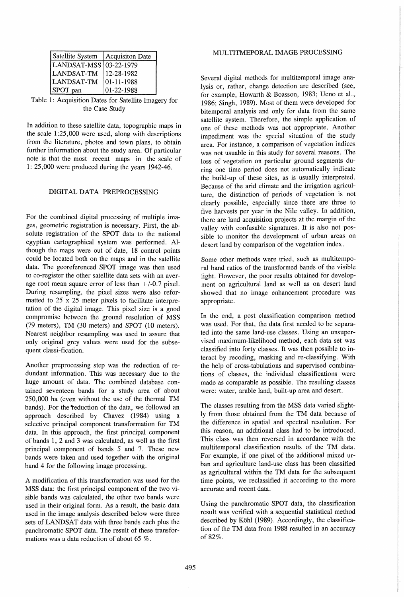| Satellite System         | <b>Acquisiton Date</b> |
|--------------------------|------------------------|
| LANDSAT-MSS   03-22-1979 |                        |
| LANDSAT-TM               | 12-28-1982             |
| LANDSAT-TM               | 01-11-1988             |
| SPOT pan                 | 01-22-1988             |

Table 1: Acquisition Dates for Satellite Imagery for the Case Study

In addition to these satellite data, topographic maps in the scale  $1:25,000$  were used, along with descriptions from the literature, photos and town plans, to obtain further information about the study area. Of particular note is that the most recent maps in the scale of 1: 25,000 were produced during the years 1942-46.

# DIGITAL DATA PREPROCESSING

For the combined digital processing of multiple images, geometric registration is necessary. First, the absolute registration of the SPOT data to the national egyptian cartographical system was performed. Although the maps were out of date, 18 control points could be located both on the maps and in the satellite data. The georeferenced SPOT image was then used to co-register the other satellite data sets with an average root mean square error of less than  $+/-0.7$  pixel. During resampling, the pixel sizes were also reformatted to 25 x 25 meter pixels to facilitate interpretation of the digital image. This pixel size is a good compromise between the ground resolution of *MSS*  (79 meters), TM (30 meters) and SPOT (10 meters). Nearest neighbor resampling was used to assure that only original grey values were used for the subsequent classi-fication.

Another preprocessing step was the reduction of redundant information. This was necessary due to the huge amount of data. The combined database contained seventeen bands for a study area of about 250,000 ha (even without the use of the thermal TM bands). For the *reduction* of the data, we followed an approach described by Chavez (1984) using a selective principal component transformation for TM data. In this approach, the first principal component of bands 1, 2 and 3 was calculated, as well as the first principal component of bands 5 and 7. These new bands were taken and used together with the original band 4 for the following image processing.

A modification of this transformation was used for the *MSS* data: the first principal component of the two visible bands was calculated, the other two bands were used in their original form. As a result, the basic data used in the image analysis described below were three sets of LANDSAT data with three bands each plus the panchromatic SPOT data. The result of these transformations was a data reduction of about 65 %.

# MULTITMEPORAL IMAGE PROCESSING

Several digital methods for multitemporal image analysis or, rather, change detection are described (see, for example, Howarth & Boasson, 1983; Ueno et aI., 1986; Singh, 1989). Most of them were developed for bitemporal analysis and only for data from the same satellite system. Therefore, the simple application of one of these methods was not appropriate. Another impediment was the special situation of the study area. For instance, a comparison of vegetation indices was not usuable in this study for several reasons. The loss of vegetation on particular ground segments during one time period does not automatically indicate the build-up of these sites, as is usually interpreted. Because of the arid climate and the irrigation agriculture, the distinction of periods of vegetation is not clearly possible, especially since there are three to five harvests per year in the Nile valley. In addition, there are land acquisition projects at the margin of the valley with confusable signatures. It is also not possible to monitor the development of urban areas on desert land by comparison of the vegetation index.

Some other methods were tried, such as multitemporal band ratios of the transformed bands of the visible light. However, the poor results obtained for development on agricultural land as well as on desert land showed that no image enhancement procedure was appropriate.

In the end, a post classification comparison method was used. For that, the data first needed to be separated into the same land-use classes. Using an unsupervised maximum-likelihood method, each data set was classified into forty classes. It was then possible to interact by recoding, masking and re-classifying. With the help of cross-tabulations and supervised combinations of classes, the individual classifications were made as comparable as possible. The resulting classes were: water, arable land, built-up area and desert.

The classes resulting from the *MSS* data varied slightly from those obtained from the TM data because of the difference in spatial and spectral resolution. For this reason, an additional class had to be introduced. This class was then reversed in accordance with the multitemporal classification results of the TM data. For example, if one pixel of the additional mixed urban and agriculture land-use class has been classified as agricultural within the TM data for the subsequent time points, we reclassified it according to the more accurate and recent data.

Using the panchromatic SPOT data, the classification result was verified with a sequential statistical method described by Kohl (1989). Accordingly, the classification of the TM data from 1988 resulted in an accuracy of 82%.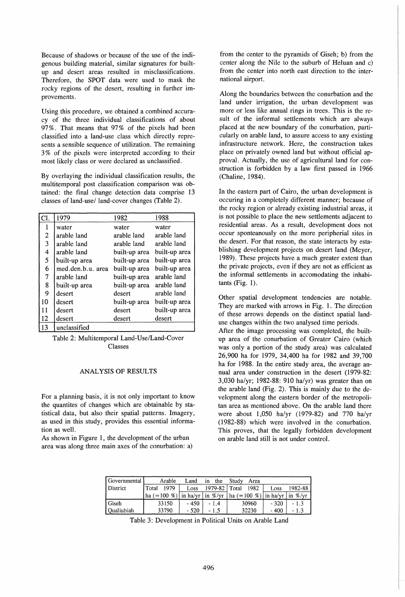Because of shadows or because of the use of the indigenous building material, similar signatures for builtup and desert areas resulted in misclassifications. Therefore, the SPOT data were used to mask the rocky regions of the desert, resulting in further improvements.

Using this procedure, we obtained a combined accuracy of the three individual classifications of about 97 %. That means that 97 % of the pixels had been classified into a land-use class which directly represents a sensible sequence of utilization. The remaining 3 % of the pixels were interpreted according to their most likely class or were declared as unclassified.

By overlaying the individual classification results, the multitemporal post classification comparison was obtained: the final change detection data comprise 13 classes of land-use/ land-cover changes (Table 2).

| CI. | 1979              | 1982          | 1988          |  |
|-----|-------------------|---------------|---------------|--|
| 1   | water             | water         | water         |  |
| 2   | arable land       | arable land   | arable land   |  |
| 3   | arable land       | arable land   | arable land   |  |
| 4   | arable land       | built-up area | built-up area |  |
| 5   | built-up area     | built-up area | built-up area |  |
| 6   | med.den.b.u. area | built-up area | built-up area |  |
| 7   | arable land       | built-up area | arable land   |  |
| 8   | built-up area     | built-up area | arable land   |  |
| 9   | desert            | desert        | arable land   |  |
| 10  | desert            | built-up area | built-up area |  |
| 11  | desert            | desert        | built-up area |  |
| 12  | desert            | desert        | desert        |  |
| 13  | unclassified      |               |               |  |

Table 2: Multitemporal Land-Use/Land-Cover Classes

# ANALYSIS OF RESULTS

For a planning basis, it is not only important to know the quantites of changes which are obtainable by statistical data, but also their spatial patterns. Imagery, as used in this study, provides this essential information as well.

As shown in Figure 1, the development of the urban area was along three main axes of the conurbation: a) from the center to the pyramids of Giseh; b) from the center along the Nile to the suburb of Heluan and c) from the center into north east direction to the international airport.

Along the boundaries between the conurbation and the land under irrigation, the urban development was more or less like annual rings in trees. This is the result of the informal settlements which are always placed at the new boundary of the conurbation, particularly on arable land, to assure access to any existing infrastructure network. Here, the construction takes place on privately owned land but without official approval. Actually, the use of agricultural land for construction is forbidden by a law first passed in 1966 (Chaline, 1984).

In the eastern part of Cairo, the urban development is occuring in a completely different manner; because of the rocky region or already existing industrial areas, it is not possible to place the new settlements adjacent to residential areas. As a result, development does not occur sponteanously on the more peripherial sites in the desert. For that reason, the state interacts by establishing development projects on desert land (Meyer, 1989). These projects have a much greater extent than the private projects, even if they are not as efficient as the informal settlements in accomodating the inhabitants  $(Fig. 1)$ .

Other spatial development tendencies are notable. They are marked with arrows in Fig. 1. The direction of these arrows depends on the distinct spatial landuse changes within the two analysed time periods. After the image processing was completed, the builtup area of the conurbation of Greater Cairo (which was only a portion of the study area) was calculated 26,900 ha for 1979, 34,400 ha for 1982 and 39,700 ha for 1988. In the entire study area, the average annual area under construction in the desert (1979-82: 3,030 ha/yr; 1982-88: 910 ha/yr) was greater than on the arable land (Fig. 2). This is mainly due to the development along the eastern border of the metropolitan area as mentioned above. On the arable land there were about 1,050 ha/yr (1979-82) and 770 ha/yr (1982-88) which were involved in the conurbation. This proves, that the legally forbidden development on arable land still is not under control.

| Governmental      | Arable           | Land  | the<br>ın                             | Study<br>Area  |                                       |         |
|-------------------|------------------|-------|---------------------------------------|----------------|---------------------------------------|---------|
| District          | 1979<br>Total    | Loss  | 1979-82   Total                       | 1982           | Loss                                  | 1982-88 |
|                   | $\ln a (=100 \%$ |       | in ha/yr $\ln \frac{\%}{\mathrm{vr}}$ | $ha (=100 \%)$ | in ha/yr $\ln \frac{\%}{\mathrm{yr}}$ |         |
| l Giseh           | 33150            | - 450 | - 14                                  | 30960          | - 320                                 | - 1.3   |
| <b>Oualiubiah</b> | 33790            | - 520 | $-1.5$                                | 32230          | - 400                                 | $-1.3$  |

Table 3: Development in Political Units on Arable Land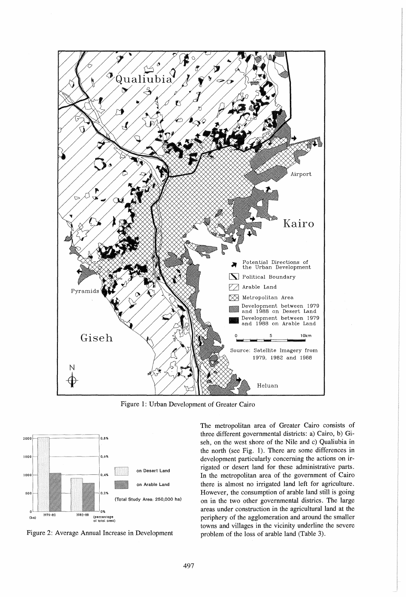

Figure 1: Urban Development of Greater Cairo



Figure 2: Average Annual Increase in Development

The metropolitan area of Greater Cairo consists of three different governmental districts: a) Cairo, b) Giseh, on the west shore of the Nile and c) Qualiubia in the north (see Fig. 1). There are some differences in development particularly concerning the actions on irrigated or desert land for these administrative parts. In the metropolitan area of the government of Cairo there is almost no irrigated land left for agriculture. However, the consumption of arable land still is going on in the two other governmental districs. The large areas under construction in the agricultural land at the periphery of the agglomeration and around the smaller towns and villages in the vicinity underline the severe problem of the loss of arable land (Table 3).